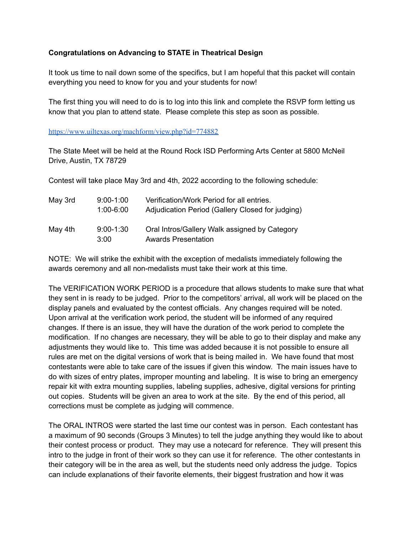## **Congratulations on Advancing to STATE in Theatrical Design**

It took us time to nail down some of the specifics, but I am hopeful that this packet will contain everything you need to know for you and your students for now!

The first thing you will need to do is to log into this link and complete the RSVP form letting us know that you plan to attend state. Please complete this step as soon as possible.

https://www.uiltexas.org/machform/view.php?id=774882

The State Meet will be held at the Round Rock ISD Performing Arts Center at 5800 McNeil Drive, Austin, TX 78729

Contest will take place May 3rd and 4th, 2022 according to the following schedule:

| May 3rd | $9:00 - 1:00$<br>$1:00 - 6:00$ | Verification/Work Period for all entries.<br>Adjudication Period (Gallery Closed for judging) |
|---------|--------------------------------|-----------------------------------------------------------------------------------------------|
| May 4th | $9:00 - 1:30$<br>3:00          | Oral Intros/Gallery Walk assigned by Category<br>Awards Presentation                          |

NOTE: We will strike the exhibit with the exception of medalists immediately following the awards ceremony and all non-medalists must take their work at this time.

The VERIFICATION WORK PERIOD is a procedure that allows students to make sure that what they sent in is ready to be judged. Prior to the competitors' arrival, all work will be placed on the display panels and evaluated by the contest officials. Any changes required will be noted. Upon arrival at the verification work period, the student will be informed of any required changes. If there is an issue, they will have the duration of the work period to complete the modification. If no changes are necessary, they will be able to go to their display and make any adjustments they would like to. This time was added because it is not possible to ensure all rules are met on the digital versions of work that is being mailed in. We have found that most contestants were able to take care of the issues if given this window. The main issues have to do with sizes of entry plates, improper mounting and labeling. It is wise to bring an emergency repair kit with extra mounting supplies, labeling supplies, adhesive, digital versions for printing out copies. Students will be given an area to work at the site. By the end of this period, all corrections must be complete as judging will commence.

The ORAL INTROS were started the last time our contest was in person. Each contestant has a maximum of 90 seconds (Groups 3 Minutes) to tell the judge anything they would like to about their contest process or product. They may use a notecard for reference. They will present this intro to the judge in front of their work so they can use it for reference. The other contestants in their category will be in the area as well, but the students need only address the judge. Topics can include explanations of their favorite elements, their biggest frustration and how it was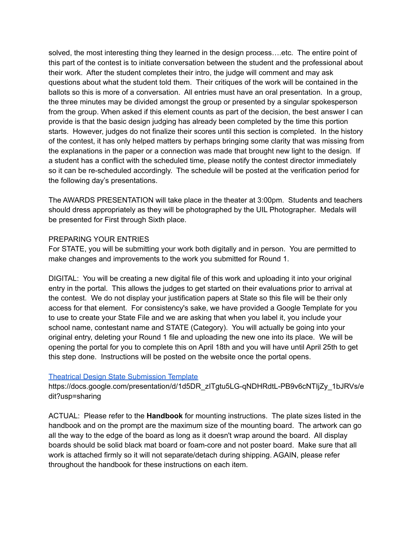solved, the most interesting thing they learned in the design process….etc. The entire point of this part of the contest is to initiate conversation between the student and the professional about their work. After the student completes their intro, the judge will comment and may ask questions about what the student told them. Their critiques of the work will be contained in the ballots so this is more of a conversation. All entries must have an oral presentation. In a group, the three minutes may be divided amongst the group or presented by a singular spokesperson from the group. When asked if this element counts as part of the decision, the best answer I can provide is that the basic design judging has already been completed by the time this portion starts. However, judges do not finalize their scores until this section is completed. In the history of the contest, it has only helped matters by perhaps bringing some clarity that was missing from the explanations in the paper or a connection was made that brought new light to the design. If a student has a conflict with the scheduled time, please notify the contest director immediately so it can be re-scheduled accordingly. The schedule will be posted at the verification period for the following day's presentations.

The AWARDS PRESENTATION will take place in the theater at 3:00pm. Students and teachers should dress appropriately as they will be photographed by the UIL Photographer. Medals will be presented for First through Sixth place.

## PREPARING YOUR ENTRIES

For STATE, you will be submitting your work both digitally and in person. You are permitted to make changes and improvements to the work you submitted for Round 1.

DIGITAL: You will be creating a new digital file of this work and uploading it into your original entry in the portal. This allows the judges to get started on their evaluations prior to arrival at the contest. We do not display your justification papers at State so this file will be their only access for that element. For consistency's sake, we have provided a Google Template for you to use to create your State File and we are asking that when you label it, you include your school name, contestant name and STATE (Category). You will actually be going into your original entry, deleting your Round 1 file and uploading the new one into its place. We will be opening the portal for you to complete this on April 18th and you will have until April 25th to get this step done. Instructions will be posted on the website once the portal opens.

## Theatrical Design State Submission Template

https://docs.google.com/presentation/d/1d5DR\_zITgtu5LG-qNDHRdtL-PB9v6cNTIjZy\_1bJRVs/e dit?usp=sharing

ACTUAL: Please refer to the **Handbook** for mounting instructions. The plate sizes listed in the handbook and on the prompt are the maximum size of the mounting board. The artwork can go all the way to the edge of the board as long as it doesn't wrap around the board. All display boards should be solid black mat board or foam-core and not poster board. Make sure that all work is attached firmly so it will not separate/detach during shipping. AGAIN, please refer throughout the handbook for these instructions on each item.